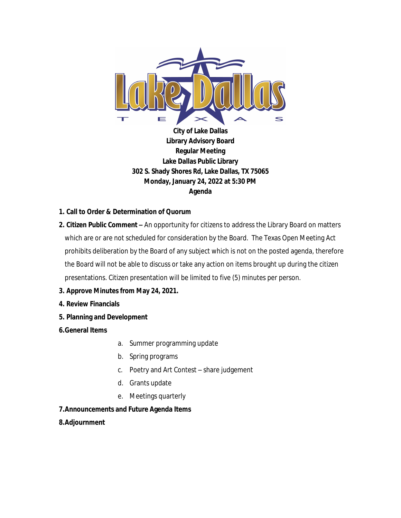

**City of Lake Dallas Library Advisory Board Regular Meeting Lake Dallas Public Library 302 S. Shady Shores Rd, Lake Dallas, TX 75065 Monday, January 24, 2022 at 5:30 PM Agenda**

## **1. Call to Order & Determination of Quorum**

**2. Citizen Public Comment –** An opportunity for citizens to address the Library Board on matters which are or are not scheduled for consideration by the Board. The Texas Open Meeting Act prohibits deliberation by the Board of any subject which is not on the posted agenda, therefore the Board will not be able to discuss or take any action on items brought up during the citizen presentations. Citizen presentation will be limited to five (5) minutes per person.

## **3. Approve Minutes from May 24, 2021.**

- **4. Review Financials**
- **5. Planning and Development**
- **6.General Items**
- a. Summer programming update
- b. Spring programs
- c. Poetry and Art Contest share judgement
- d. Grants update
- e. Meetings quarterly
- **7.Announcements and Future Agenda Items**
- **8.Adjournment**